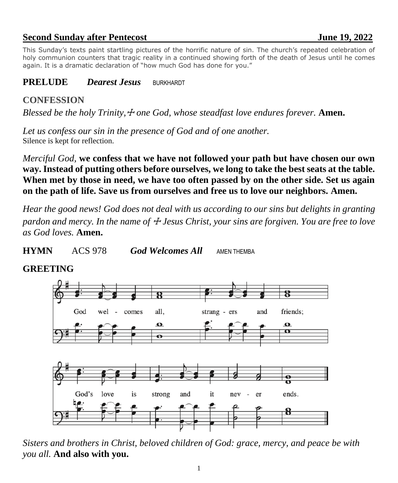# **Second Sunday after Pentecost June 19, 2022**

This Sunday's texts paint startling pictures of the horrific nature of sin. The church's repeated celebration of holy communion counters that tragic reality in a continued showing forth of the death of Jesus until he comes again. It is a dramatic declaration of "how much God has done for you."

### **PRELUDE** *Dearest Jesus* BURKHARDT

## **CONFESSION**

*Blessed be the holy Trinity,*☩ *one God, whose steadfast love endures forever.* **Amen.**

*Let us confess our sin in the presence of God and of one another.* Silence is kept for reflection.

*Merciful God,* **we confess that we have not followed your path but have chosen our own way. Instead of putting others before ourselves, we long to take the best seats at the table. When met by those in need, we have too often passed by on the other side. Set us again on the path of life. Save us from ourselves and free us to love our neighbors. Amen.**

*Hear the good news! God does not deal with us according to our sins but delights in granting pardon and mercy. In the name of*  $\pm$  *Jesus Christ, your sins are forgiven. You are free to love as God loves.* **Amen.**

**HYMN** ACS 978*God Welcomes All*AMEN THEMBA

## **GREETING**



*Sisters and brothers in Christ, beloved children of God: grace, mercy, and peace be with you all.* **And also with you.**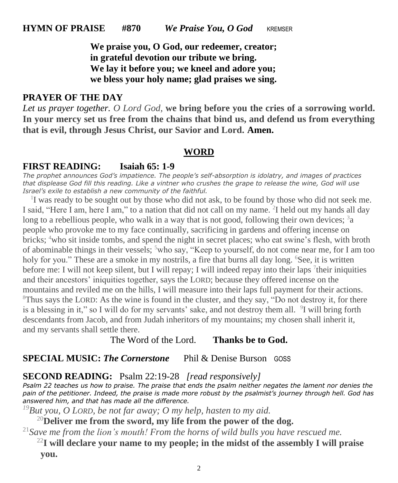**We praise you, O God, our redeemer, creator; in grateful devotion our tribute we bring. We lay it before you; we kneel and adore you; we bless your holy name; glad praises we sing.**

### **PRAYER OF THE DAY**

*Let us prayer together. O Lord God,* **we bring before you the cries of a sorrowing world. In your mercy set us free from the chains that bind us, and defend us from everything that is evil, through Jesus Christ, our Savior and Lord. Amen.**

#### **WORD**

#### **FIRST READING: Isaiah 65: 1-9**

*The prophet announces God's impatience. The people's self-absorption is idolatry, and images of practices that displease God fill this reading. Like a vintner who crushes the grape to release the wine, God will use Israel's exile to establish a new community of the faithful.*

<sup>1</sup>I was ready to be sought out by those who did not ask, to be found by those who did not seek me. I said, "Here I am, here I am," to a nation that did not call on my name. <sup>2</sup>I held out my hands all day long to a rebellious people, who walk in a way that is not good, following their own devices; <sup>3</sup>a people who provoke me to my face continually, sacrificing in gardens and offering incense on bricks; <sup>4</sup>who sit inside tombs, and spend the night in secret places; who eat swine's flesh, with broth of abominable things in their vessels;  $5$  who say, "Keep to yourself, do not come near me, for I am too holy for you." These are a smoke in my nostrils, a fire that burns all day long. <sup>6</sup>See, it is written before me: I will not keep silent, but I will repay; I will indeed repay into their laps <sup>7</sup> their iniquities and their ancestors' iniquities together, says the LORD; because they offered incense on the mountains and reviled me on the hills, I will measure into their laps full payment for their actions. <sup>8</sup>Thus says the LORD: As the wine is found in the cluster, and they say, "Do not destroy it, for there is a blessing in it," so I will do for my servants' sake, and not destroy them all. <sup>9</sup>I will bring forth descendants from Jacob, and from Judah inheritors of my mountains; my chosen shall inherit it, and my servants shall settle there.

The Word of the Lord. **Thanks be to God.**

#### **SPECIAL MUSIC:** *The Cornerstone* Phil & Denise BursonGOSS

#### **SECOND READING:** Psalm 22:19-28 *[read responsively]*

*Psalm 22 teaches us how to praise. The praise that ends the psalm neither negates the lament nor denies the*  pain of the petitioner. Indeed, the praise is made more robust by the psalmist's journey through hell. God has *answered him, and that has made all the difference.* 

*<sup>19</sup>But you, O LORD, be not far away; O my help, hasten to my aid.*

<sup>20</sup>**Deliver me from the sword, my life from the power of the dog.**

<sup>21</sup>*Save me from the lion's mouth! From the horns of wild bulls you have rescued me.*

<sup>22</sup>**I will declare your name to my people; in the midst of the assembly I will praise you.**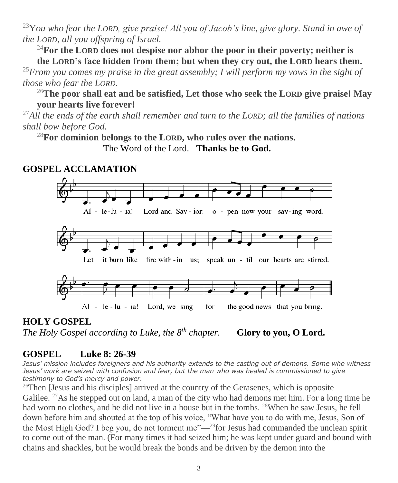<sup>23</sup>Y*ou who fear the LORD, give praise! All you of Jacob's line, give glory. Stand in awe of the LORD, all you offspring of Israel.*

<sup>24</sup>**For the LORD does not despise nor abhor the poor in their poverty; neither is** 

**the LORD's face hidden from them; but when they cry out, the LORD hears them.** <sup>25</sup>*From you comes my praise in the great assembly; I will perform my vows in the sight of those who fear the LORD.*

<sup>26</sup>**The poor shall eat and be satisfied, Let those who seek the LORD give praise! May your hearts live forever!**

<sup>27</sup>*All the ends of the earth shall remember and turn to the LORD; all the families of nations shall bow before God.*

<sup>28</sup>**For dominion belongs to the LORD, who rules over the nations.**

# **GOSPEL ACCLAMATION**



# **HOLY GOSPEL** *The Holy Gospel according to Luke, the 8*

*Glory to you, O Lord.* 

# **GOSPEL Luke 8: 26-39**

*Jesus' mission includes foreigners and his authority extends to the casting out of demons. Some who witness Jesus' work are seized with confusion and fear, but the man who was healed is commissioned to give testimony to God's mercy and power.*

<sup>26</sup>Then [Jesus and his disciples] arrived at the country of the Gerasenes, which is opposite Galilee.  $^{27}$ As he stepped out on land, a man of the city who had demons met him. For a long time he had worn no clothes, and he did not live in a house but in the tombs. <sup>28</sup>When he saw Jesus, he fell down before him and shouted at the top of his voice, "What have you to do with me, Jesus, Son of the Most High God? I beg you, do not torment me"—<sup>29</sup>for Jesus had commanded the unclean spirit to come out of the man. (For many times it had seized him; he was kept under guard and bound with chains and shackles, but he would break the bonds and be driven by the demon into the

The Word of the Lord. **Thanks be to God.**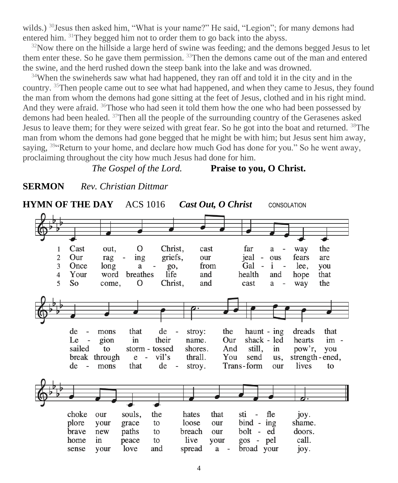wilds.) <sup>30</sup>Jesus then asked him, "What is your name?" He said, "Legion"; for many demons had entered him. <sup>31</sup>They begged him not to order them to go back into the abyss.

 $32$ Now there on the hillside a large herd of swine was feeding; and the demons begged Jesus to let them enter these. So he gave them permission. <sup>33</sup>Then the demons came out of the man and entered the swine, and the herd rushed down the steep bank into the lake and was drowned.

<sup>34</sup>When the swineherds saw what had happened, they ran off and told it in the city and in the country. <sup>35</sup>Then people came out to see what had happened, and when they came to Jesus, they found the man from whom the demons had gone sitting at the feet of Jesus, clothed and in his right mind. And they were afraid.  $36T$ hose who had seen it told them how the one who had been possessed by demons had been healed. <sup>37</sup>Then all the people of the surrounding country of the Gerasenes asked Jesus to leave them; for they were seized with great fear. So he got into the boat and returned. <sup>38</sup>The man from whom the demons had gone begged that he might be with him; but Jesus sent him away, saying,  $394$ Return to your home, and declare how much God has done for you." So he went away, proclaiming throughout the city how much Jesus had done for him.

### *The Gospel of the Lord.* **Praise to you, O Christ.**



**SERMON** *Rev. Christian Dittmar*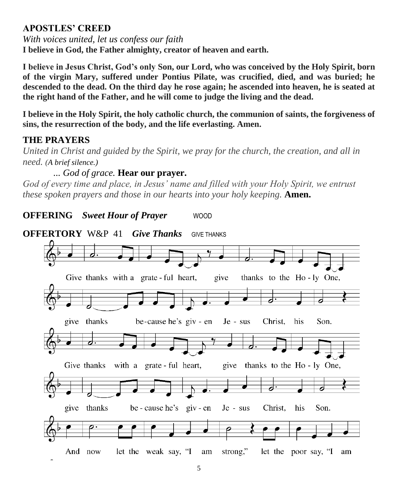# **APOSTLES' CREED**

*With voices united, let us confess our faith*

**I believe in God, the Father almighty, creator of heaven and earth.**

**I believe in Jesus Christ, God's only Son, our Lord, who was conceived by the Holy Spirit, born of the virgin Mary, suffered under Pontius Pilate, was crucified, died, and was buried; he descended to the dead. On the third day he rose again; he ascended into heaven, he is seated at the right hand of the Father, and he will come to judge the living and the dead.**

**I believe in the Holy Spirit, the holy catholic church, the communion of saints, the forgiveness of sins, the resurrection of the body, and the life everlasting. Amen.**

# **THE PRAYERS**

*United in Christ and guided by the Spirit, we pray for the church, the creation, and all in need. (A brief silence.)*

# *... God of grace.* **Hear our prayer.**

*God of every time and place, in Jesus' name and filled with your Holy Spirit, we entrust these spoken prayers and those in our hearts into your holy keeping.* **Amen.**

**OFFERTORY** W&P 41*Give Thanks*GIVE THANKSGive thanks with a grate ful heart, give thanks to the Ho-ly One, give thanks be-cause he's giv - en  $Je - sus$ Christ, his Son. Give thanks with a grate - ful heart, give thanks to the Ho-ly One, give thanks be - cause he's giv - en Je - sus Christ. his Son. And now let the weak say, "I am strong," let the poor say, "I am

# **OFFERING** *Sweet Hour of Prayer* WOOD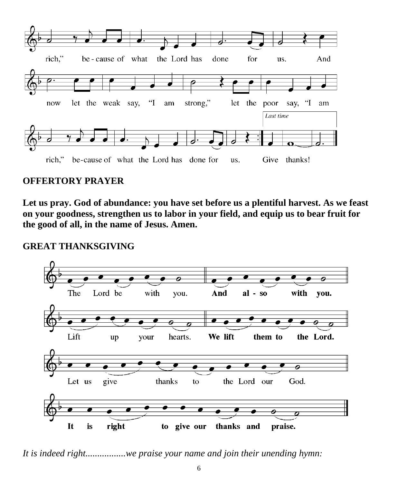

# **OFFERTORY PRAYER**

**Let us pray. God of abundance: you have set before us a plentiful harvest. As we feast on your goodness, strengthen us to labor in your field, and equip us to bear fruit for the good of all, in the name of Jesus. Amen.**

## **GREAT THANKSGIVING**



*It is indeed right.................we praise your name and join their unending hymn:*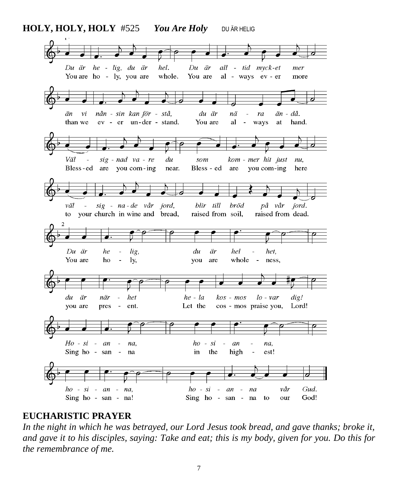**HOLY, HOLY, HOLY** #525*You Are Holy*DU ÄR HELIG



#### **EUCHARISTIC PRAYER**

*In the night in which he was betrayed, our Lord Jesus took bread, and gave thanks; broke it, and gave it to his disciples, saying: Take and eat; this is my body, given for you. Do this for the remembrance of me.*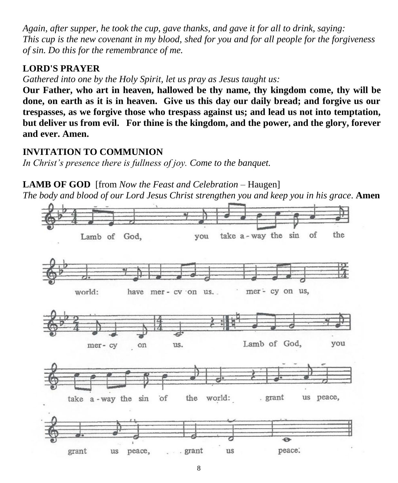*Again, after supper, he took the cup, gave thanks, and gave it for all to drink, saying: This cup is the new covenant in my blood, shed for you and for all people for the forgiveness of sin. Do this for the remembrance of me.* 

# **LORD'S PRAYER**

*Gathered into one by the Holy Spirit, let us pray as Jesus taught us:* 

**Our Father, who art in heaven, hallowed be thy name, thy kingdom come, thy will be done, on earth as it is in heaven. Give us this day our daily bread; and forgive us our trespasses, as we forgive those who trespass against us; and lead us not into temptation, but deliver us from evil. For thine is the kingdom, and the power, and the glory, forever and ever. Amen.**

## **INVITATION TO COMMUNION**

*In Christ's presence there is fullness of joy. Come to the banquet.*

**LAMB OF GOD** [from *Now the Feast and Celebration* – Haugen]

*The body and blood of our Lord Jesus Christ strengthen you and keep you in his grace*. **Amen**